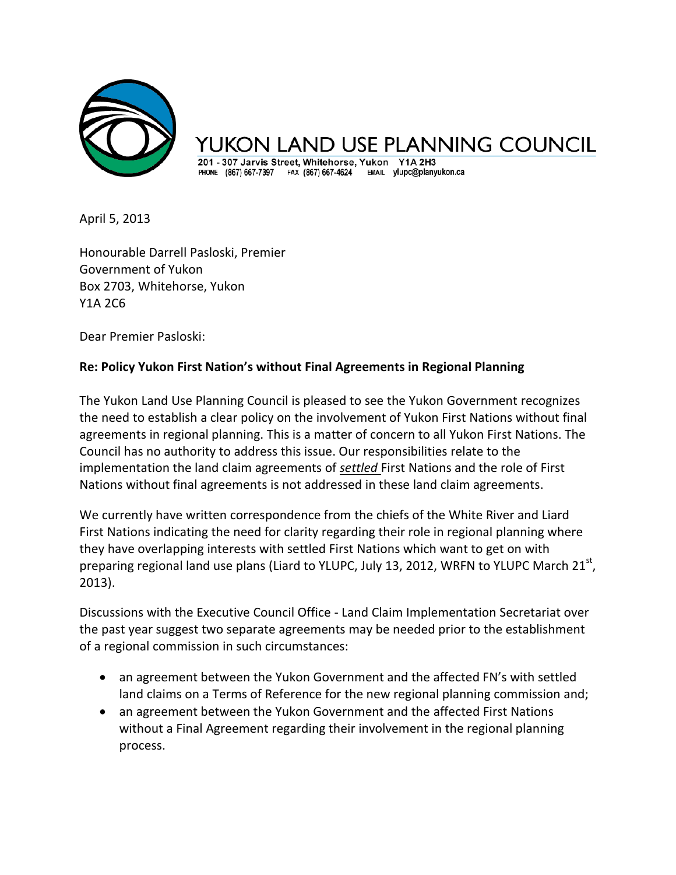

AND USE PLANNING COUNCIL

201 - 307 Jarvis Street, Whitehorse, Yukon Y1A 2H3 PHONE (867) 667-7397 FAX (867) 667-4624 EMAIL ylupc@planyukon.ca

April 5, 2013

Honourable Darrell Pasloski, Premier Government of Yukon Box 2703, Whitehorse, Yukon Y1A 2C6

Dear Premier Pasloski:

## **Re: Policy Yukon First Nation's without Final Agreements in Regional Planning**

The Yukon Land Use Planning Council is pleased to see the Yukon Government recognizes the need to establish a clear policy on the involvement of Yukon First Nations without final agreements in regional planning. This is a matter of concern to all Yukon First Nations. The Council has no authority to address this issue. Our responsibilities relate to the implementation the land claim agreements of *settled* First Nations and the role of First Nations without final agreements is not addressed in these land claim agreements.

We currently have written correspondence from the chiefs of the White River and Liard First Nations indicating the need for clarity regarding their role in regional planning where they have overlapping interests with settled First Nations which want to get on with preparing regional land use plans (Liard to YLUPC, July 13, 2012, WRFN to YLUPC March 21<sup>st</sup>, 2013).

Discussions with the Executive Council Office - Land Claim Implementation Secretariat over the past year suggest two separate agreements may be needed prior to the establishment of a regional commission in such circumstances:

- an agreement between the Yukon Government and the affected FN's with settled land claims on a Terms of Reference for the new regional planning commission and;
- an agreement between the Yukon Government and the affected First Nations without a Final Agreement regarding their involvement in the regional planning process.